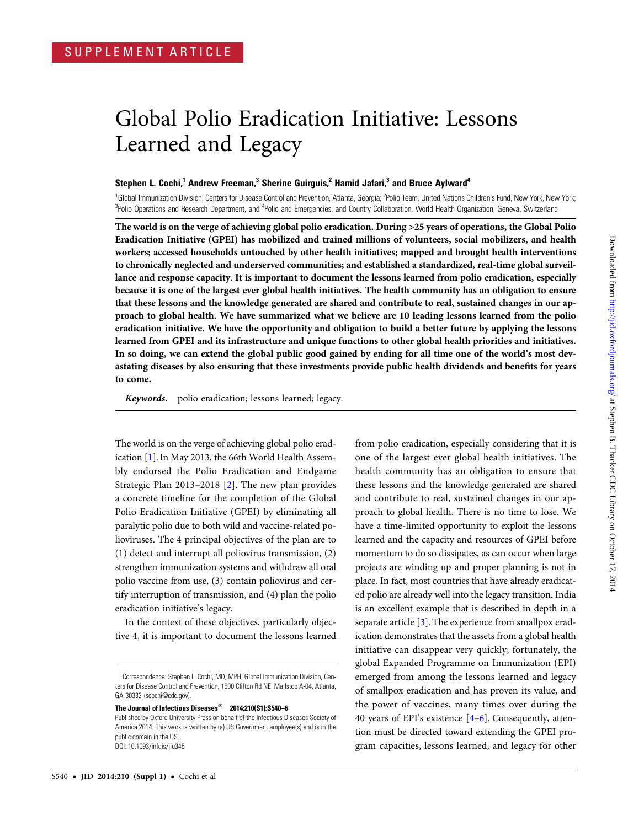# Global Polio Eradication Initiative: Lessons Learned and Legacy

## Stephen L. Cochi,<sup>1</sup> Andrew Freeman,<sup>3</sup> Sherine Guirguis,<sup>2</sup> Hamid Jafari,<sup>3</sup> and Bruce Aylward<sup>4</sup>

<sup>1</sup>Global Immunization Division, Centers for Disease Control and Prevention, Atlanta, Georgia; <sup>2</sup>Polio Team, United Nations Children's Fund, New York, New York; <sup>3</sup>Polio Operations and Research Department, and <sup>4</sup>Polio and Emergencies, and Country Collaboration, World Health Organization, Geneva, Switzerland

The world is on the verge of achieving global polio eradication. During >25 years of operations, the Global Polio Eradication Initiative (GPEI) has mobilized and trained millions of volunteers, social mobilizers, and health workers; accessed households untouched by other health initiatives; mapped and brought health interventions to chronically neglected and underserved communities; and established a standardized, real-time global surveillance and response capacity. It is important to document the lessons learned from polio eradication, especially because it is one of the largest ever global health initiatives. The health community has an obligation to ensure that these lessons and the knowledge generated are shared and contribute to real, sustained changes in our approach to global health. We have summarized what we believe are 10 leading lessons learned from the polio eradication initiative. We have the opportunity and obligation to build a better future by applying the lessons learned from GPEI and its infrastructure and unique functions to other global health priorities and initiatives. In so doing, we can extend the global public good gained by ending for all time one of the world's most devastating diseases by also ensuring that these investments provide public health dividends and benefits for years to come.

Keywords. polio eradication; lessons learned; legacy.

The world is on the verge of achieving global polio eradication [[1](#page-6-0)]. In May 2013, the 66th World Health Assembly endorsed the Polio Eradication and Endgame Strategic Plan 2013–2018 [[2](#page-6-0)]. The new plan provides a concrete timeline for the completion of the Global Polio Eradication Initiative (GPEI) by eliminating all paralytic polio due to both wild and vaccine-related polioviruses. The 4 principal objectives of the plan are to (1) detect and interrupt all poliovirus transmission, (2) strengthen immunization systems and withdraw all oral polio vaccine from use, (3) contain poliovirus and certify interruption of transmission, and (4) plan the polio eradication initiative's legacy.

In the context of these objectives, particularly objective 4, it is important to document the lessons learned

The Journal of Infectious Diseases® 2014;210(S1):S540–6

from polio eradication, especially considering that it is one of the largest ever global health initiatives. The health community has an obligation to ensure that these lessons and the knowledge generated are shared and contribute to real, sustained changes in our approach to global health. There is no time to lose. We have a time-limited opportunity to exploit the lessons learned and the capacity and resources of GPEI before momentum to do so dissipates, as can occur when large projects are winding up and proper planning is not in place. In fact, most countries that have already eradicated polio are already well into the legacy transition. India is an excellent example that is described in depth in a separate article [\[3](#page-6-0)]. The experience from smallpox eradication demonstrates that the assets from a global health initiative can disappear very quickly; fortunately, the global Expanded Programme on Immunization (EPI) emerged from among the lessons learned and legacy of smallpox eradication and has proven its value, and the power of vaccines, many times over during the 40 years of EPI's existence [[4](#page-6-0)–[6\]](#page-6-0). Consequently, attention must be directed toward extending the GPEI program capacities, lessons learned, and legacy for other

Correspondence: Stephen L. Cochi, MD, MPH, Global Immunization Division, Centers for Disease Control and Prevention, 1600 Clifton Rd NE, Mailstop A-04, Atlanta, GA 30333 ([scochi@cdc.gov\)](mailto:scochi@cdc.gov).

Published by Oxford University Press on behalf of the Infectious Diseases Society of America 2014. This work is written by (a) US Government employee(s) and is in the public domain in the US. DOI: 10.1093/infdis/jiu345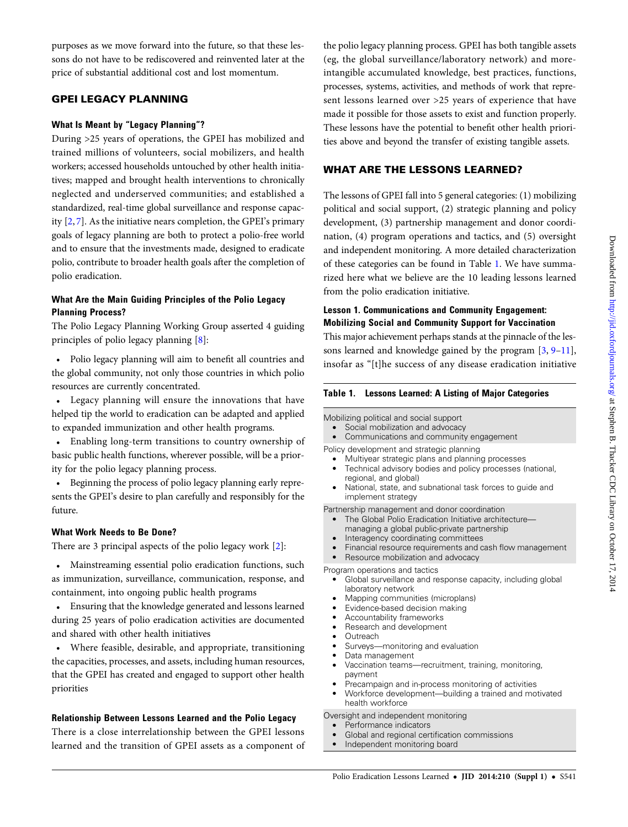purposes as we move forward into the future, so that these lessons do not have to be rediscovered and reinvented later at the price of substantial additional cost and lost momentum.

# GPEI LEGACY PLANNING

#### What Is Meant by "Legacy Planning"?

During >25 years of operations, the GPEI has mobilized and trained millions of volunteers, social mobilizers, and health workers; accessed households untouched by other health initiatives; mapped and brought health interventions to chronically neglected and underserved communities; and established a standardized, real-time global surveillance and response capacity [\[2,](#page-6-0) [7\]](#page-6-0). As the initiative nears completion, the GPEI's primary goals of legacy planning are both to protect a polio-free world and to ensure that the investments made, designed to eradicate polio, contribute to broader health goals after the completion of polio eradication.

## What Are the Main Guiding Principles of the Polio Legacy Planning Process?

The Polio Legacy Planning Working Group asserted 4 guiding principles of polio legacy planning [\[8\]](#page-6-0):

- Polio legacy planning will aim to benefit all countries and the global community, not only those countries in which polio resources are currently concentrated.
- Legacy planning will ensure the innovations that have helped tip the world to eradication can be adapted and applied to expanded immunization and other health programs.
- Enabling long-term transitions to country ownership of basic public health functions, wherever possible, will be a priority for the polio legacy planning process.

• Beginning the process of polio legacy planning early represents the GPEI's desire to plan carefully and responsibly for the future.

#### What Work Needs to Be Done?

There are 3 principal aspects of the polio legacy work [[2](#page-6-0)]:

- Mainstreaming essential polio eradication functions, such as immunization, surveillance, communication, response, and containment, into ongoing public health programs
- Ensuring that the knowledge generated and lessons learned during 25 years of polio eradication activities are documented and shared with other health initiatives

• Where feasible, desirable, and appropriate, transitioning the capacities, processes, and assets, including human resources, that the GPEI has created and engaged to support other health priorities

#### Relationship Between Lessons Learned and the Polio Legacy

There is a close interrelationship between the GPEI lessons learned and the transition of GPEI assets as a component of

the polio legacy planning process. GPEI has both tangible assets (eg, the global surveillance/laboratory network) and moreintangible accumulated knowledge, best practices, functions, processes, systems, activities, and methods of work that represent lessons learned over >25 years of experience that have made it possible for those assets to exist and function properly. These lessons have the potential to benefit other health priorities above and beyond the transfer of existing tangible assets.

# WHAT ARE THE LESSONS LEARNED?

The lessons of GPEI fall into 5 general categories: (1) mobilizing political and social support, (2) strategic planning and policy development, (3) partnership management and donor coordination, (4) program operations and tactics, and (5) oversight and independent monitoring. A more detailed characterization of these categories can be found in Table 1. We have summarized here what we believe are the 10 leading lessons learned from the polio eradication initiative.

# Lesson 1. Communications and Community Engagement: Mobilizing Social and Community Support for Vaccination

This major achievement perhaps stands at the pinnacle of the lessons learned and knowledge gained by the program [\[3,](#page-6-0) [9](#page-6-0)–[11\]](#page-6-0), insofar as "[t]he success of any disease eradication initiative

## Table 1. Lessons Learned: A Listing of Major Categories

Mobilizing political and social support

- Social mobilization and advocacy
- Communications and community engagement

Policy development and strategic planning

- Multiyear strategic plans and planning processes Technical advisory bodies and policy processes (national, regional, and global)
- National, state, and subnational task forces to guide and implement strategy

Partnership management and donor coordination

- The Global Polio Eradication Initiative architecturemanaging a global public-private partnership
- Interagency coordinating committees
- Financial resource requirements and cash flow management

Resource mobilization and advocacy

- Program operations and tactics • Global surveillance and response capacity, including global laboratory network
	- Mapping communities (microplans)
	- Evidence-based decision making
	- Accountability frameworks
	- Research and development
	- **Outreach**
	- Surveys-monitoring and evaluation
	- Data management
	- Vaccination teams—recruitment, training, monitoring, payment
	- Precampaign and in-process monitoring of activities
	- Workforce development—building a trained and motivated health workforce

Oversight and independent monitoring

- Performance indicators
- Global and regional certification commissions
- Independent monitoring board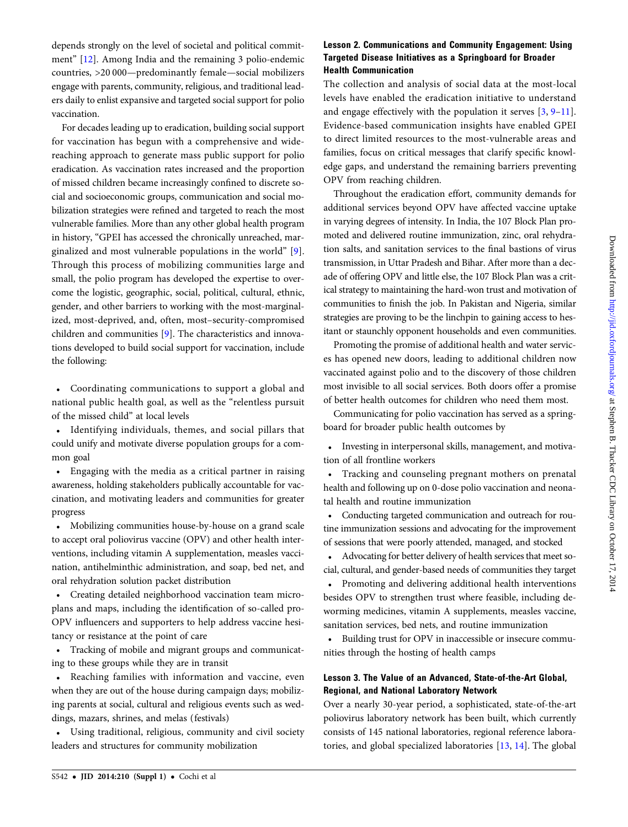depends strongly on the level of societal and political commitment" [[12\]](#page-6-0). Among India and the remaining 3 polio-endemic countries, >20 000—predominantly female—social mobilizers engage with parents, community, religious, and traditional leaders daily to enlist expansive and targeted social support for polio vaccination.

For decades leading up to eradication, building social support for vaccination has begun with a comprehensive and widereaching approach to generate mass public support for polio eradication. As vaccination rates increased and the proportion of missed children became increasingly confined to discrete social and socioeconomic groups, communication and social mobilization strategies were refined and targeted to reach the most vulnerable families. More than any other global health program in history, "GPEI has accessed the chronically unreached, marginalized and most vulnerable populations in the world" [[9\]](#page-6-0). Through this process of mobilizing communities large and small, the polio program has developed the expertise to overcome the logistic, geographic, social, political, cultural, ethnic, gender, and other barriers to working with the most-marginalized, most-deprived, and, often, most–security-compromised children and communities [\[9](#page-6-0)]. The characteristics and innovations developed to build social support for vaccination, include the following:

• Coordinating communications to support a global and national public health goal, as well as the "relentless pursuit of the missed child" at local levels

• Identifying individuals, themes, and social pillars that could unify and motivate diverse population groups for a common goal

• Engaging with the media as a critical partner in raising awareness, holding stakeholders publically accountable for vaccination, and motivating leaders and communities for greater progress

• Mobilizing communities house-by-house on a grand scale to accept oral poliovirus vaccine (OPV) and other health interventions, including vitamin A supplementation, measles vaccination, antihelminthic administration, and soap, bed net, and oral rehydration solution packet distribution

• Creating detailed neighborhood vaccination team microplans and maps, including the identification of so-called pro-OPV influencers and supporters to help address vaccine hesitancy or resistance at the point of care

• Tracking of mobile and migrant groups and communicating to these groups while they are in transit

• Reaching families with information and vaccine, even when they are out of the house during campaign days; mobilizing parents at social, cultural and religious events such as weddings, mazars, shrines, and melas (festivals)

• Using traditional, religious, community and civil society leaders and structures for community mobilization

# Lesson 2. Communications and Community Engagement: Using Targeted Disease Initiatives as a Springboard for Broader Health Communication

The collection and analysis of social data at the most-local levels have enabled the eradication initiative to understand and engage effectively with the population it serves [[3](#page-6-0), [9](#page-6-0)–[11\]](#page-6-0). Evidence-based communication insights have enabled GPEI to direct limited resources to the most-vulnerable areas and families, focus on critical messages that clarify specific knowledge gaps, and understand the remaining barriers preventing OPV from reaching children.

Throughout the eradication effort, community demands for additional services beyond OPV have affected vaccine uptake in varying degrees of intensity. In India, the 107 Block Plan promoted and delivered routine immunization, zinc, oral rehydration salts, and sanitation services to the final bastions of virus transmission, in Uttar Pradesh and Bihar. After more than a decade of offering OPV and little else, the 107 Block Plan was a critical strategy to maintaining the hard-won trust and motivation of communities to finish the job. In Pakistan and Nigeria, similar strategies are proving to be the linchpin to gaining access to hesitant or staunchly opponent households and even communities.

Promoting the promise of additional health and water services has opened new doors, leading to additional children now vaccinated against polio and to the discovery of those children most invisible to all social services. Both doors offer a promise of better health outcomes for children who need them most.

Communicating for polio vaccination has served as a springboard for broader public health outcomes by

• Investing in interpersonal skills, management, and motivation of all frontline workers

• Tracking and counseling pregnant mothers on prenatal health and following up on 0-dose polio vaccination and neonatal health and routine immunization

Conducting targeted communication and outreach for routine immunization sessions and advocating for the improvement of sessions that were poorly attended, managed, and stocked

• Advocating for better delivery of health services that meet social, cultural, and gender-based needs of communities they target

• Promoting and delivering additional health interventions besides OPV to strengthen trust where feasible, including deworming medicines, vitamin A supplements, measles vaccine, sanitation services, bed nets, and routine immunization

• Building trust for OPV in inaccessible or insecure communities through the hosting of health camps

# Lesson 3. The Value of an Advanced, State-of-the-Art Global, Regional, and National Laboratory Network

Over a nearly 30-year period, a sophisticated, state-of-the-art poliovirus laboratory network has been built, which currently consists of 145 national laboratories, regional reference laboratories, and global specialized laboratories [[13](#page-6-0), [14\]](#page-6-0). The global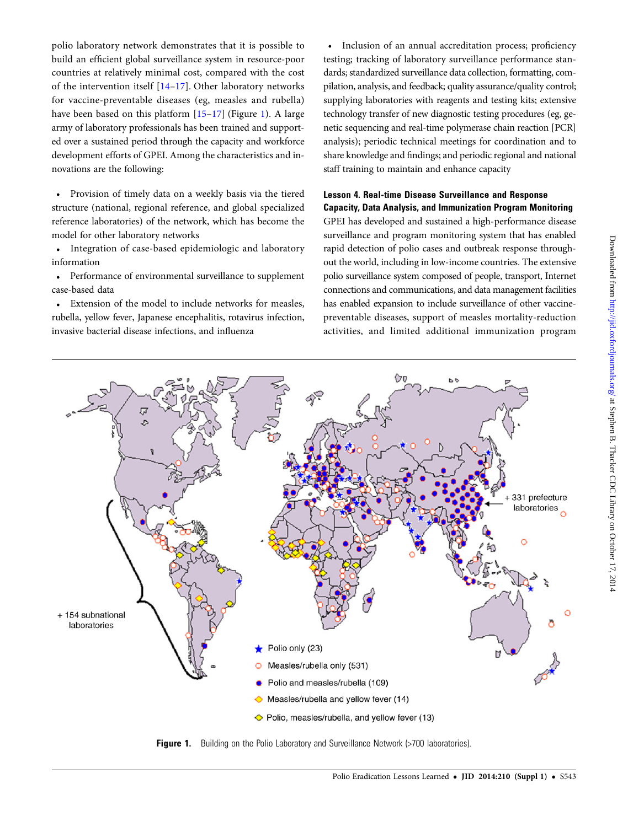polio laboratory network demonstrates that it is possible to build an efficient global surveillance system in resource-poor countries at relatively minimal cost, compared with the cost of the intervention itself [\[14](#page-6-0)–[17](#page-6-0)]. Other laboratory networks for vaccine-preventable diseases (eg, measles and rubella) have been based on this platform [\[15](#page-6-0)–[17\]](#page-6-0) (Figure 1). A large army of laboratory professionals has been trained and supported over a sustained period through the capacity and workforce development efforts of GPEI. Among the characteristics and innovations are the following:

• Provision of timely data on a weekly basis via the tiered structure (national, regional reference, and global specialized reference laboratories) of the network, which has become the model for other laboratory networks

• Integration of case-based epidemiologic and laboratory information

• Performance of environmental surveillance to supplement case-based data

• Extension of the model to include networks for measles, rubella, yellow fever, Japanese encephalitis, rotavirus infection, invasive bacterial disease infections, and influenza

• Inclusion of an annual accreditation process; proficiency testing; tracking of laboratory surveillance performance standards; standardized surveillance data collection, formatting, compilation, analysis, and feedback; quality assurance/quality control; supplying laboratories with reagents and testing kits; extensive technology transfer of new diagnostic testing procedures (eg, genetic sequencing and real-time polymerase chain reaction [PCR] analysis); periodic technical meetings for coordination and to share knowledge and findings; and periodic regional and national staff training to maintain and enhance capacity

#### Lesson 4. Real-time Disease Surveillance and Response Capacity, Data Analysis, and Immunization Program Monitoring

GPEI has developed and sustained a high-performance disease surveillance and program monitoring system that has enabled rapid detection of polio cases and outbreak response throughout the world, including in low-income countries. The extensive polio surveillance system composed of people, transport, Internet connections and communications, and data management facilities has enabled expansion to include surveillance of other vaccinepreventable diseases, support of measles mortality-reduction activities, and limited additional immunization program



Figure 1. Building on the Polio Laboratory and Surveillance Network (>700 laboratories).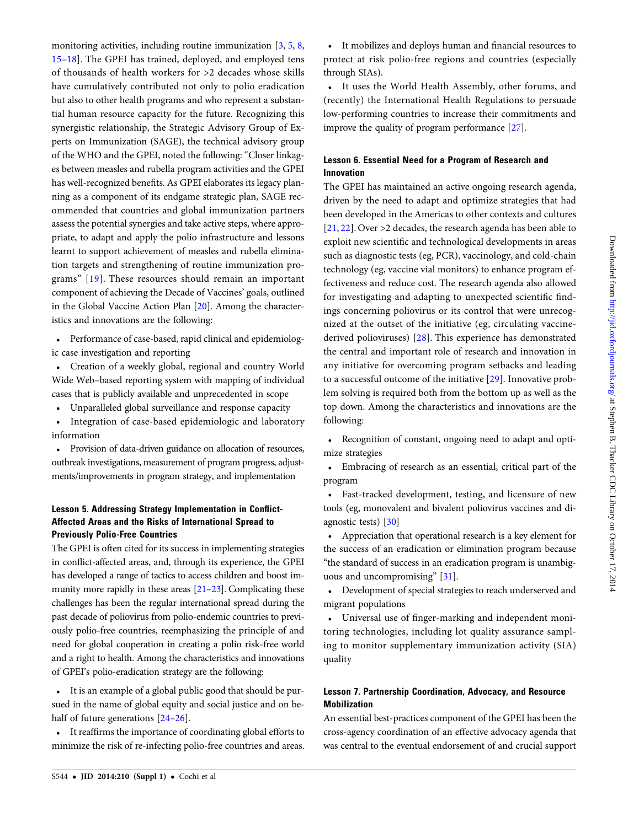monitoring activities, including routine immunization [\[3,](#page-6-0) [5,](#page-6-0) [8,](#page-6-0) [15](#page-6-0)–[18\]](#page-6-0). The GPEI has trained, deployed, and employed tens of thousands of health workers for >2 decades whose skills have cumulatively contributed not only to polio eradication but also to other health programs and who represent a substantial human resource capacity for the future. Recognizing this synergistic relationship, the Strategic Advisory Group of Experts on Immunization (SAGE), the technical advisory group of the WHO and the GPEI, noted the following: "Closer linkages between measles and rubella program activities and the GPEI has well-recognized benefits. As GPEI elaborates its legacy planning as a component of its endgame strategic plan, SAGE recommended that countries and global immunization partners assess the potential synergies and take active steps, where appropriate, to adapt and apply the polio infrastructure and lessons learnt to support achievement of measles and rubella elimination targets and strengthening of routine immunization programs" [\[19\]](#page-6-0). These resources should remain an important component of achieving the Decade of Vaccines' goals, outlined in the Global Vaccine Action Plan [[20\]](#page-6-0). Among the characteristics and innovations are the following:

• Performance of case-based, rapid clinical and epidemiologic case investigation and reporting

• Creation of a weekly global, regional and country World Wide Web–based reporting system with mapping of individual cases that is publicly available and unprecedented in scope

• Unparalleled global surveillance and response capacity

• Integration of case-based epidemiologic and laboratory information

• Provision of data-driven guidance on allocation of resources, outbreak investigations, measurement of program progress, adjustments/improvements in program strategy, and implementation

# Lesson 5. Addressing Strategy Implementation in Conflict-Affected Areas and the Risks of International Spread to Previously Polio-Free Countries

The GPEI is often cited for its success in implementing strategies in conflict-affected areas, and, through its experience, the GPEI has developed a range of tactics to access children and boost im-munity more rapidly in these areas [\[21](#page-6-0)–[23\]](#page-6-0). Complicating these challenges has been the regular international spread during the past decade of poliovirus from polio-endemic countries to previously polio-free countries, reemphasizing the principle of and need for global cooperation in creating a polio risk-free world and a right to health. Among the characteristics and innovations of GPEI's polio-eradication strategy are the following:

• It is an example of a global public good that should be pursued in the name of global equity and social justice and on be-half of future generations [[24](#page-6-0)–[26\]](#page-6-0).

• It reaffirms the importance of coordinating global efforts to minimize the risk of re-infecting polio-free countries and areas.

• It mobilizes and deploys human and financial resources to protect at risk polio-free regions and countries (especially through SIAs).

• It uses the World Health Assembly, other forums, and (recently) the International Health Regulations to persuade low-performing countries to increase their commitments and improve the quality of program performance [[27\]](#page-6-0).

# Lesson 6. Essential Need for a Program of Research and Innovation

The GPEI has maintained an active ongoing research agenda, driven by the need to adapt and optimize strategies that had been developed in the Americas to other contexts and cultures [\[21,](#page-6-0) [22](#page-6-0)]. Over >2 decades, the research agenda has been able to exploit new scientific and technological developments in areas such as diagnostic tests (eg, PCR), vaccinology, and cold-chain technology (eg, vaccine vial monitors) to enhance program effectiveness and reduce cost. The research agenda also allowed for investigating and adapting to unexpected scientific findings concerning poliovirus or its control that were unrecognized at the outset of the initiative (eg, circulating vaccinederived polioviruses) [[28](#page-6-0)]. This experience has demonstrated the central and important role of research and innovation in any initiative for overcoming program setbacks and leading to a successful outcome of the initiative [\[29\]](#page-6-0). Innovative problem solving is required both from the bottom up as well as the top down. Among the characteristics and innovations are the following:

• Recognition of constant, ongoing need to adapt and optimize strategies

• Embracing of research as an essential, critical part of the program

• Fast-tracked development, testing, and licensure of new tools (eg, monovalent and bivalent poliovirus vaccines and diagnostic tests) [[30\]](#page-6-0)

• Appreciation that operational research is a key element for the success of an eradication or elimination program because "the standard of success in an eradication program is unambiguous and uncompromising" [\[31](#page-6-0)].

• Development of special strategies to reach underserved and migrant populations

• Universal use of finger-marking and independent monitoring technologies, including lot quality assurance sampling to monitor supplementary immunization activity (SIA) quality

# Lesson 7. Partnership Coordination, Advocacy, and Resource Mobilization

An essential best-practices component of the GPEI has been the cross-agency coordination of an effective advocacy agenda that was central to the eventual endorsement of and crucial support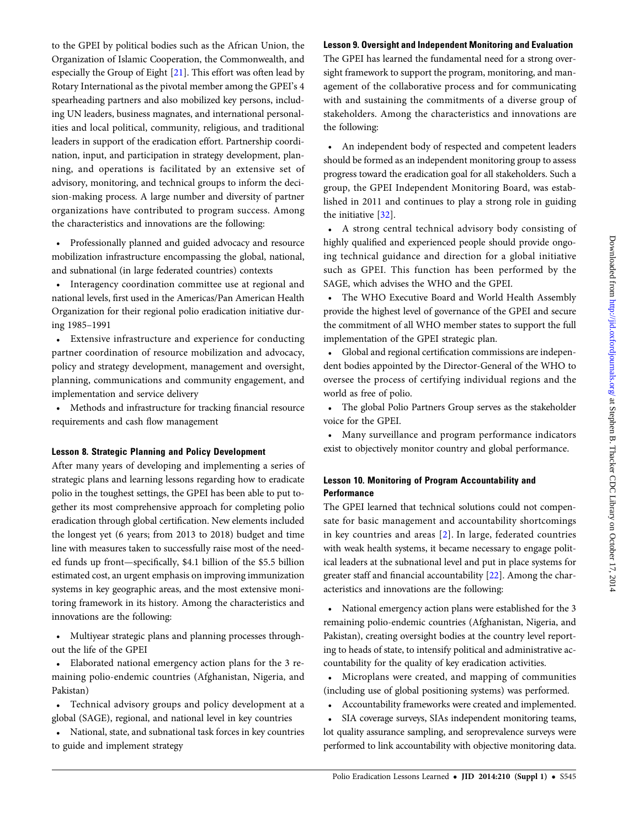to the GPEI by political bodies such as the African Union, the Organization of Islamic Cooperation, the Commonwealth, and especially the Group of Eight [\[21](#page-6-0)]. This effort was often lead by Rotary International as the pivotal member among the GPEI's 4 spearheading partners and also mobilized key persons, including UN leaders, business magnates, and international personalities and local political, community, religious, and traditional leaders in support of the eradication effort. Partnership coordination, input, and participation in strategy development, planning, and operations is facilitated by an extensive set of advisory, monitoring, and technical groups to inform the decision-making process. A large number and diversity of partner organizations have contributed to program success. Among the characteristics and innovations are the following:

• Professionally planned and guided advocacy and resource mobilization infrastructure encompassing the global, national, and subnational (in large federated countries) contexts

• Interagency coordination committee use at regional and national levels, first used in the Americas/Pan American Health Organization for their regional polio eradication initiative during 1985–1991

• Extensive infrastructure and experience for conducting partner coordination of resource mobilization and advocacy, policy and strategy development, management and oversight, planning, communications and community engagement, and implementation and service delivery

• Methods and infrastructure for tracking financial resource requirements and cash flow management

#### Lesson 8. Strategic Planning and Policy Development

After many years of developing and implementing a series of strategic plans and learning lessons regarding how to eradicate polio in the toughest settings, the GPEI has been able to put together its most comprehensive approach for completing polio eradication through global certification. New elements included the longest yet (6 years; from 2013 to 2018) budget and time line with measures taken to successfully raise most of the needed funds up front—specifically, \$4.1 billion of the \$5.5 billion estimated cost, an urgent emphasis on improving immunization systems in key geographic areas, and the most extensive monitoring framework in its history. Among the characteristics and innovations are the following:

• Multiyear strategic plans and planning processes throughout the life of the GPEI

• Elaborated national emergency action plans for the 3 remaining polio-endemic countries (Afghanistan, Nigeria, and Pakistan)

• Technical advisory groups and policy development at a global (SAGE), regional, and national level in key countries

• National, state, and subnational task forces in key countries to guide and implement strategy

#### Lesson 9. Oversight and Independent Monitoring and Evaluation

The GPEI has learned the fundamental need for a strong oversight framework to support the program, monitoring, and management of the collaborative process and for communicating with and sustaining the commitments of a diverse group of stakeholders. Among the characteristics and innovations are the following:

• An independent body of respected and competent leaders should be formed as an independent monitoring group to assess progress toward the eradication goal for all stakeholders. Such a group, the GPEI Independent Monitoring Board, was established in 2011 and continues to play a strong role in guiding the initiative [[32\]](#page-6-0).

• A strong central technical advisory body consisting of highly qualified and experienced people should provide ongoing technical guidance and direction for a global initiative such as GPEI. This function has been performed by the SAGE, which advises the WHO and the GPEI.

• The WHO Executive Board and World Health Assembly provide the highest level of governance of the GPEI and secure the commitment of all WHO member states to support the full implementation of the GPEI strategic plan.

• Global and regional certification commissions are independent bodies appointed by the Director-General of the WHO to oversee the process of certifying individual regions and the world as free of polio.

• The global Polio Partners Group serves as the stakeholder voice for the GPEI.

• Many surveillance and program performance indicators exist to objectively monitor country and global performance.

# Lesson 10. Monitoring of Program Accountability and **Performance**

The GPEI learned that technical solutions could not compensate for basic management and accountability shortcomings in key countries and areas [[2](#page-6-0)]. In large, federated countries with weak health systems, it became necessary to engage political leaders at the subnational level and put in place systems for greater staff and financial accountability [[22\]](#page-6-0). Among the characteristics and innovations are the following:

• National emergency action plans were established for the 3 remaining polio-endemic countries (Afghanistan, Nigeria, and Pakistan), creating oversight bodies at the country level reporting to heads of state, to intensify political and administrative accountability for the quality of key eradication activities.

• Microplans were created, and mapping of communities (including use of global positioning systems) was performed.

- Accountability frameworks were created and implemented.
- SIA coverage surveys, SIAs independent monitoring teams, lot quality assurance sampling, and seroprevalence surveys were performed to link accountability with objective monitoring data.